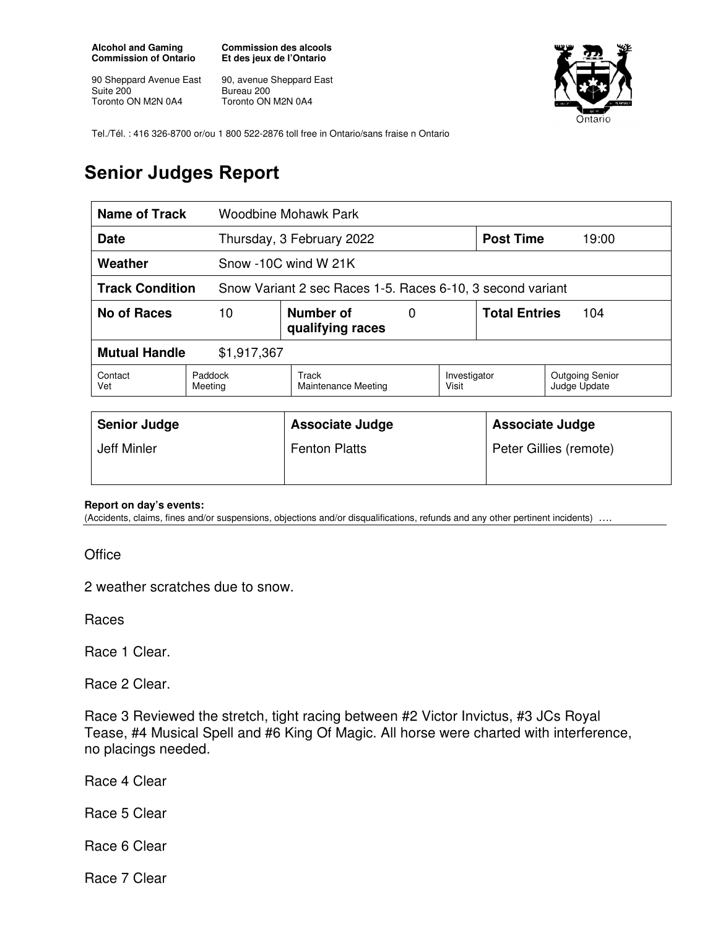**Alcohol and Gaming Commission of Ontario** 

90 Sheppard Avenue East Suite 200 Toronto ON M2N 0A4

**Commission des alcools Et des jeux de l'Ontario** 

90, avenue Sheppard East Bureau 200 Toronto ON M2N 0A4



Tel./Tél. : 416 326-8700 or/ou 1 800 522-2876 toll free in Ontario/sans fraise n Ontario

## **Senior Judges Report**

| <b>Name of Track</b>                                                                 |                    | Woodbine Mohawk Park                  |   |              |                                        |       |
|--------------------------------------------------------------------------------------|--------------------|---------------------------------------|---|--------------|----------------------------------------|-------|
| Date                                                                                 |                    | Thursday, 3 February 2022             |   |              | <b>Post Time</b>                       | 19:00 |
| Weather                                                                              |                    | Snow -10C wind W 21K                  |   |              |                                        |       |
| <b>Track Condition</b><br>Snow Variant 2 sec Races 1-5. Races 6-10, 3 second variant |                    |                                       |   |              |                                        |       |
| 10<br><b>No of Races</b>                                                             |                    | Number of<br>qualifying races         | 0 |              | <b>Total Entries</b><br>104            |       |
| <b>Mutual Handle</b><br>\$1,917,367                                                  |                    |                                       |   |              |                                        |       |
| Contact<br>Vet                                                                       | Paddock<br>Meeting | Track<br>Visit<br>Maintenance Meeting |   | Investigator | <b>Outgoing Senior</b><br>Judge Update |       |
|                                                                                      |                    |                                       |   |              |                                        |       |
| <b>Senior Judge</b>                                                                  |                    | <b>Associate Judge</b>                |   |              | <b>Associate Judge</b>                 |       |
| Jeff Minler                                                                          |                    | <b>Fenton Platts</b>                  |   |              | Peter Gillies (remote)                 |       |
|                                                                                      |                    |                                       |   |              |                                        |       |

## **Report on day's events:**

(Accidents, claims, fines and/or suspensions, objections and/or disqualifications, refunds and any other pertinent incidents) ….

**Office** 

2 weather scratches due to snow.

Races

Race 1 Clear.

Race 2 Clear.

Race 3 Reviewed the stretch, tight racing between #2 Victor Invictus, #3 JCs Royal Tease, #4 Musical Spell and #6 King Of Magic. All horse were charted with interference, no placings needed.

Race 4 Clear

Race 5 Clear

Race 6 Clear

Race 7 Clear